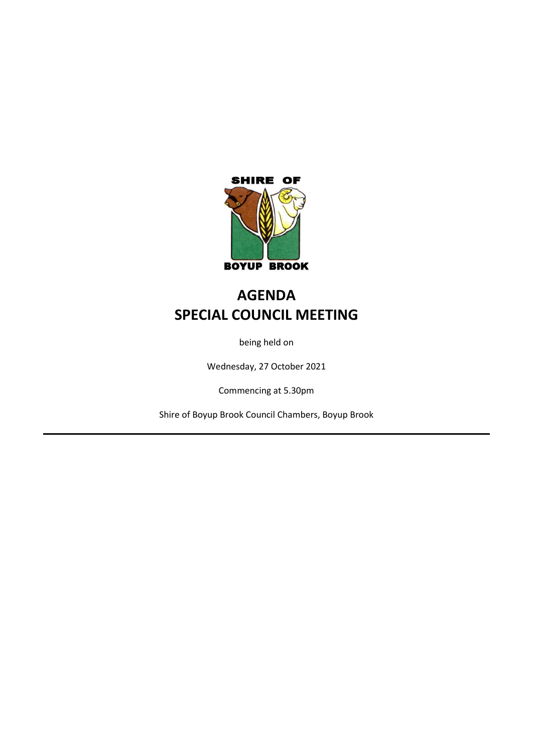

# **AGENDA SPECIAL COUNCIL MEETING**

being held on

Wednesday, 27 October 2021

Commencing at 5.30pm

Shire of Boyup Brook Council Chambers, Boyup Brook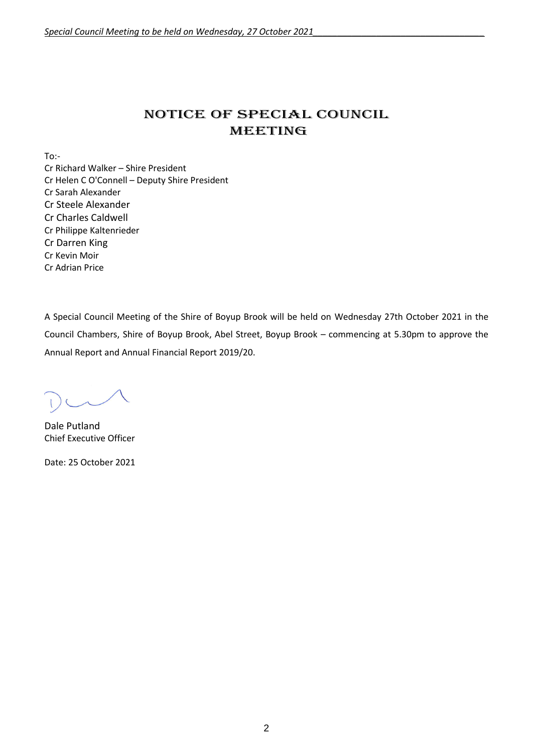## NOTICE OF Special COUNCIL MEETING

 $To:$ 

Cr Richard Walker – Shire President Cr Helen C O'Connell – Deputy Shire President Cr Sarah Alexander Cr Steele Alexander Cr Charles Caldwell Cr Philippe Kaltenrieder Cr Darren King Cr Kevin Moir Cr Adrian Price

A Special Council Meeting of the Shire of Boyup Brook will be held on Wednesday 27th October 2021 in the Council Chambers, Shire of Boyup Brook, Abel Street, Boyup Brook – commencing at 5.30pm to approve the Annual Report and Annual Financial Report 2019/20.

Dale Putland Chief Executive Officer

Date: 25 October 2021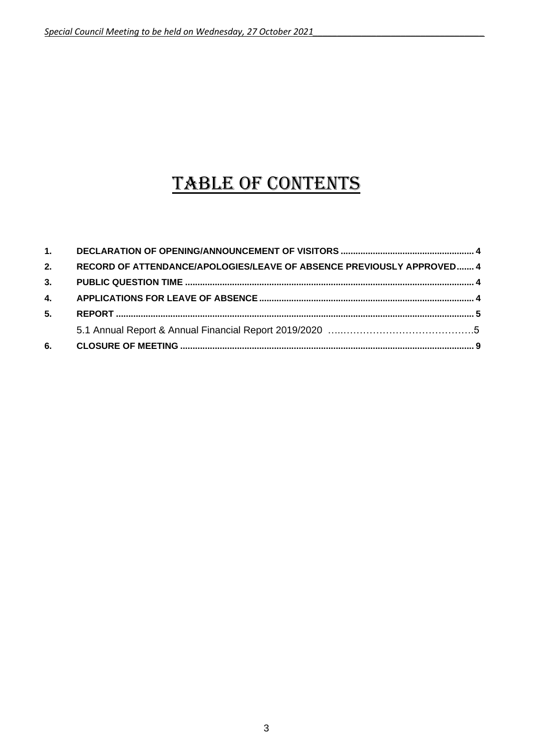# TABLE OF CONTENTS

| 5. |                                                                       |  |
|----|-----------------------------------------------------------------------|--|
|    |                                                                       |  |
|    |                                                                       |  |
| 2. | RECORD OF ATTENDANCE/APOLOGIES/LEAVE OF ABSENCE PREVIOUSLY APPROVED 4 |  |
|    |                                                                       |  |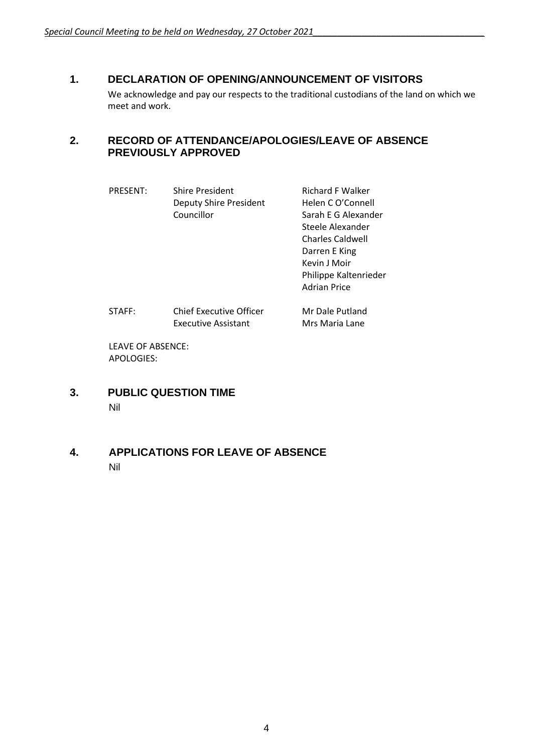## <span id="page-3-0"></span>**1. DECLARATION OF OPENING/ANNOUNCEMENT OF VISITORS**

We acknowledge and pay our respects to the traditional custodians of the land on which we meet and work.

## <span id="page-3-1"></span>**2. RECORD OF ATTENDANCE/APOLOGIES/LEAVE OF ABSENCE PREVIOUSLY APPROVED**

| <b>Richard F Walker</b><br><b>Deputy Shire President</b><br>Helen C O'Connell<br>Sarah E G Alexander<br>Steele Alexander<br><b>Charles Caldwell</b><br>Darren E King<br>Kevin J Moir<br>Philippe Kaltenrieder<br>Adrian Price |
|-------------------------------------------------------------------------------------------------------------------------------------------------------------------------------------------------------------------------------|
| Chief Executive Officer<br>Mr Dale Putland<br><b>Executive Assistant</b><br>Mrs Maria Lane                                                                                                                                    |
|                                                                                                                                                                                                                               |

LEAVE OF ABSENCE: APOLOGIES:

- <span id="page-3-2"></span>**3. PUBLIC QUESTION TIME** Nil
- <span id="page-3-3"></span>**4. APPLICATIONS FOR LEAVE OF ABSENCE** Nil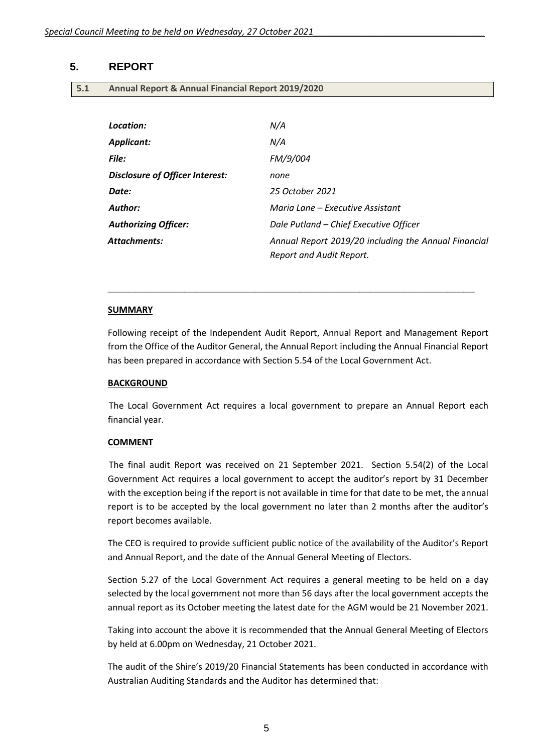## <span id="page-4-0"></span>**5. REPORT**

| 5.1 | Annual Report & Annual Financial Report 2019/2020 |  |
|-----|---------------------------------------------------|--|
|-----|---------------------------------------------------|--|

| Location:                       | N/A                                                                              |
|---------------------------------|----------------------------------------------------------------------------------|
| Applicant:                      | N/A                                                                              |
| <b>File:</b>                    | FM/9/004                                                                         |
| Disclosure of Officer Interest: | none                                                                             |
| Date:                           | 25 October 2021                                                                  |
| Author:                         | Maria Lane – Executive Assistant                                                 |
| <b>Authorizing Officer:</b>     | Dale Putland - Chief Executive Officer                                           |
| <b>Attachments:</b>             | Annual Report 2019/20 including the Annual Financial<br>Report and Audit Report. |

#### **SUMMARY**

Following receipt of the Independent Audit Report, Annual Report and Management Report from the Office of the Auditor General, the Annual Report including the Annual Financial Report has been prepared in accordance with Section 5.54 of the Local Government Act.

**\_\_\_\_\_\_\_\_\_\_\_\_\_\_\_\_\_\_\_\_\_\_\_\_\_\_\_\_\_\_\_\_\_\_\_\_\_\_\_\_\_\_\_\_\_\_\_\_\_\_\_\_\_\_\_\_\_\_\_\_\_\_\_\_\_\_\_**

## **BACKGROUND**

The Local Government Act requires a local government to prepare an Annual Report each financial year.

## **COMMENT**

The final audit Report was received on 21 September 2021. Section 5.54(2) of the Local Government Act requires a local government to accept the auditor's report by 31 December with the exception being if the report is not available in time for that date to be met, the annual report is to be accepted by the local government no later than 2 months after the auditor's report becomes available.

The CEO is required to provide sufficient public notice of the availability of the Auditor's Report and Annual Report, and the date of the Annual General Meeting of Electors.

Section 5.27 of the Local Government Act requires a general meeting to be held on a day selected by the local government not more than 56 days after the local government accepts the annual report as its October meeting the latest date for the AGM would be 21 November 2021.

Taking into account the above it is recommended that the Annual General Meeting of Electors by held at 6.00pm on Wednesday, 21 October 2021.

The audit of the Shire's 2019/20 Financial Statements has been conducted in accordance with Australian Auditing Standards and the Auditor has determined that: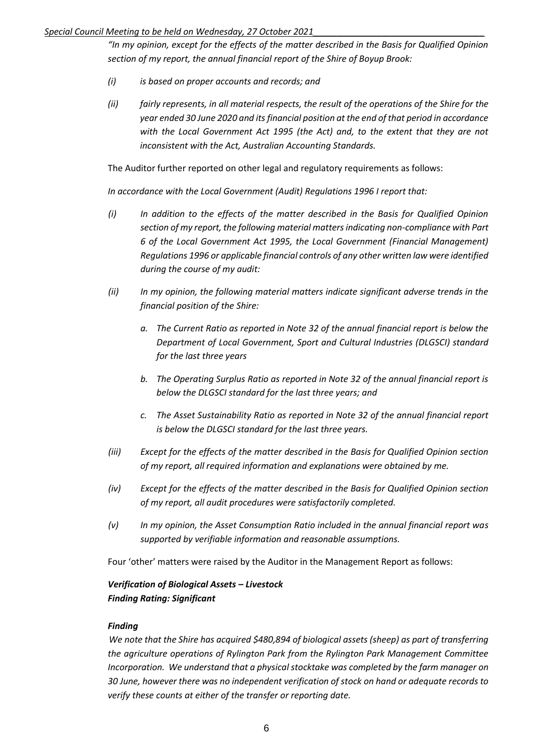## *Special Council Meeting to be held on Wednesday, 27 October 2021\_\_\_\_\_\_\_\_\_\_\_\_\_\_\_\_\_\_\_\_\_\_\_\_\_\_\_\_\_\_\_\_\_\_\_*

*"In my opinion, except for the effects of the matter described in the Basis for Qualified Opinion section of my report, the annual financial report of the Shire of Boyup Brook:*

- *(i) is based on proper accounts and records; and*
- *(ii) fairly represents, in all material respects, the result of the operations of the Shire for the year ended 30 June 2020 and its financial position at the end of that period in accordance with the Local Government Act 1995 (the Act) and, to the extent that they are not inconsistent with the Act, Australian Accounting Standards.*

The Auditor further reported on other legal and regulatory requirements as follows:

*In accordance with the Local Government (Audit) Regulations 1996 I report that:*

- *(i) In addition to the effects of the matter described in the Basis for Qualified Opinion section of my report, the following material matters indicating non-compliance with Part 6 of the Local Government Act 1995, the Local Government (Financial Management) Regulations 1996 or applicable financial controls of any other written law were identified during the course of my audit:*
- *(ii) In my opinion, the following material matters indicate significant adverse trends in the financial position of the Shire:*
	- *a. The Current Ratio as reported in Note 32 of the annual financial report is below the Department of Local Government, Sport and Cultural Industries (DLGSCI) standard for the last three years*
	- *b. The Operating Surplus Ratio as reported in Note 32 of the annual financial report is below the DLGSCI standard for the last three years; and*
	- *c. The Asset Sustainability Ratio as reported in Note 32 of the annual financial report is below the DLGSCI standard for the last three years.*
- *(iii) Except for the effects of the matter described in the Basis for Qualified Opinion section of my report, all required information and explanations were obtained by me.*
- *(iv) Except for the effects of the matter described in the Basis for Qualified Opinion section of my report, all audit procedures were satisfactorily completed.*
- *(v) In my opinion, the Asset Consumption Ratio included in the annual financial report was supported by verifiable information and reasonable assumptions.*

Four 'other' matters were raised by the Auditor in the Management Report as follows:

## *Verification of Biological Assets – Livestock Finding Rating: Significant*

## *Finding*

*We note that the Shire has acquired \$480,894 of biological assets (sheep) as part of transferring the agriculture operations of Rylington Park from the Rylington Park Management Committee Incorporation. We understand that a physical stocktake was completed by the farm manager on 30 June, however there was no independent verification of stock on hand or adequate records to verify these counts at either of the transfer or reporting date.*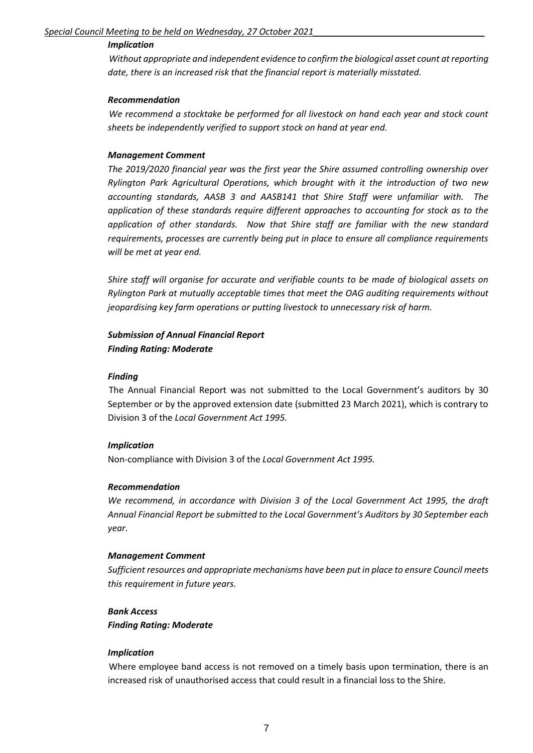## *Implication*

*Without appropriate and independent evidence to confirm the biological asset count at reporting date, there is an increased risk that the financial report is materially misstated.*

## *Recommendation*

*We recommend a stocktake be performed for all livestock on hand each year and stock count sheets be independently verified to support stock on hand at year end.*

## *Management Comment*

*The 2019/2020 financial year was the first year the Shire assumed controlling ownership over Rylington Park Agricultural Operations, which brought with it the introduction of two new accounting standards, AASB 3 and AASB141 that Shire Staff were unfamiliar with. The application of these standards require different approaches to accounting for stock as to the application of other standards. Now that Shire staff are familiar with the new standard requirements, processes are currently being put in place to ensure all compliance requirements will be met at year end.*

*Shire staff will organise for accurate and verifiable counts to be made of biological assets on Rylington Park at mutually acceptable times that meet the OAG auditing requirements without jeopardising key farm operations or putting livestock to unnecessary risk of harm.*

## *Submission of Annual Financial Report Finding Rating: Moderate*

## *Finding*

The Annual Financial Report was not submitted to the Local Government's auditors by 30 September or by the approved extension date (submitted 23 March 2021), which is contrary to Division 3 of the *Local Government Act 1995.*

## *Implication*

Non-compliance with Division 3 of the *Local Government Act 1995.*

## *Recommendation*

*We recommend, in accordance with Division 3 of the Local Government Act 1995, the draft Annual Financial Report be submitted to the Local Government's Auditors by 30 September each year.*

## *Management Comment*

*Sufficient resources and appropriate mechanisms have been put in place to ensure Council meets this requirement in future years.*

## *Bank Access Finding Rating: Moderate*

## *Implication*

Where employee band access is not removed on a timely basis upon termination, there is an increased risk of unauthorised access that could result in a financial loss to the Shire.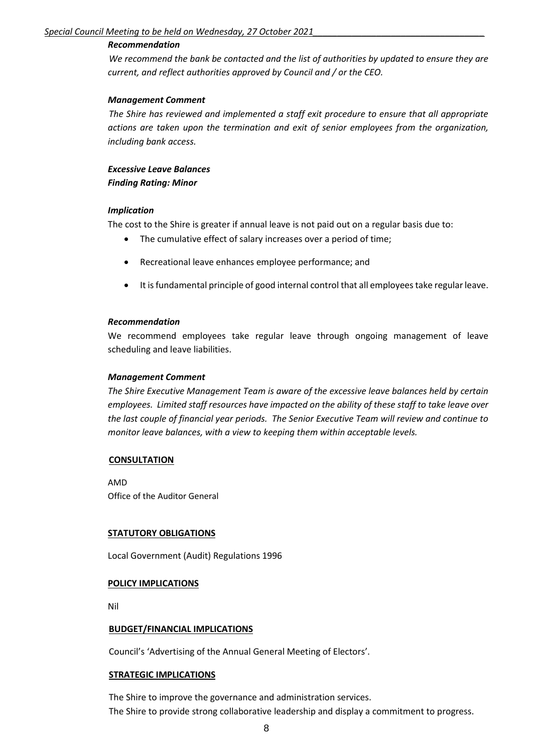## *Recommendation*

*We recommend the bank be contacted and the list of authorities by updated to ensure they are current, and reflect authorities approved by Council and / or the CEO.*

## *Management Comment*

*The Shire has reviewed and implemented a staff exit procedure to ensure that all appropriate actions are taken upon the termination and exit of senior employees from the organization, including bank access.*

*Excessive Leave Balances Finding Rating: Minor*

## *Implication*

The cost to the Shire is greater if annual leave is not paid out on a regular basis due to:

- The cumulative effect of salary increases over a period of time;
- Recreational leave enhances employee performance; and
- It is fundamental principle of good internal control that all employees take regular leave.

## *Recommendation*

We recommend employees take regular leave through ongoing management of leave scheduling and leave liabilities.

## *Management Comment*

*The Shire Executive Management Team is aware of the excessive leave balances held by certain employees. Limited staff resources have impacted on the ability of these staff to take leave over the last couple of financial year periods. The Senior Executive Team will review and continue to monitor leave balances, with a view to keeping them within acceptable levels.*

## **CONSULTATION**

AMD Office of the Auditor General

## **STATUTORY OBLIGATIONS**

Local Government (Audit) Regulations 1996

## **POLICY IMPLICATIONS**

Nil

## **BUDGET/FINANCIAL IMPLICATIONS**

Council's 'Advertising of the Annual General Meeting of Electors'.

## **STRATEGIC IMPLICATIONS**

The Shire to improve the governance and administration services. The Shire to provide strong collaborative leadership and display a commitment to progress.